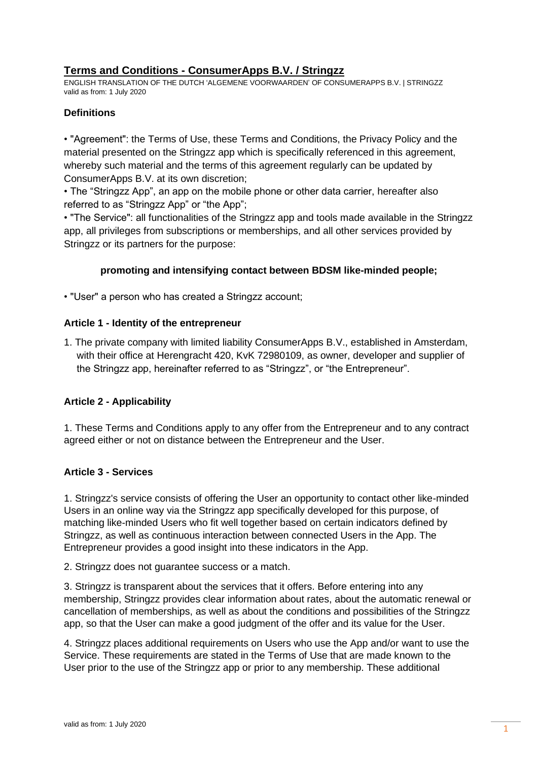# **Terms and Conditions - ConsumerApps B.V. / Stringzz**

ENGLISH TRANSLATION OF THE DUTCH 'ALGEMENE VOORWAARDEN' OF CONSUMERAPPS B.V. | STRINGZZ valid as from: 1 July 2020

## **Definitions**

• "Agreement": the Terms of Use, these Terms and Conditions, the Privacy Policy and the material presented on the Stringzz app which is specifically referenced in this agreement, whereby such material and the terms of this agreement regularly can be updated by ConsumerApps B.V. at its own discretion;

• The "Stringzz App", an app on the mobile phone or other data carrier, hereafter also referred to as "Stringzz App" or "the App";

• "The Service": all functionalities of the Stringzz app and tools made available in the Stringzz app, all privileges from subscriptions or memberships, and all other services provided by Stringzz or its partners for the purpose:

## **promoting and intensifying contact between BDSM like-minded people;**

• "User" a person who has created a Stringzz account;

## **Article 1 - Identity of the entrepreneur**

1. The private company with limited liability ConsumerApps B.V., established in Amsterdam, with their office at Herengracht 420, KvK 72980109, as owner, developer and supplier of the Stringzz app, hereinafter referred to as "Stringzz", or "the Entrepreneur".

# **Article 2 - Applicability**

1. These Terms and Conditions apply to any offer from the Entrepreneur and to any contract agreed either or not on distance between the Entrepreneur and the User.

## **Article 3 - Services**

1. Stringzz's service consists of offering the User an opportunity to contact other like-minded Users in an online way via the Stringzz app specifically developed for this purpose, of matching like-minded Users who fit well together based on certain indicators defined by Stringzz, as well as continuous interaction between connected Users in the App. The Entrepreneur provides a good insight into these indicators in the App.

2. Stringzz does not guarantee success or a match.

3. Stringzz is transparent about the services that it offers. Before entering into any membership, Stringzz provides clear information about rates, about the automatic renewal or cancellation of memberships, as well as about the conditions and possibilities of the Stringzz app, so that the User can make a good judgment of the offer and its value for the User.

4. Stringzz places additional requirements on Users who use the App and/or want to use the Service. These requirements are stated in the Terms of Use that are made known to the User prior to the use of the Stringzz app or prior to any membership. These additional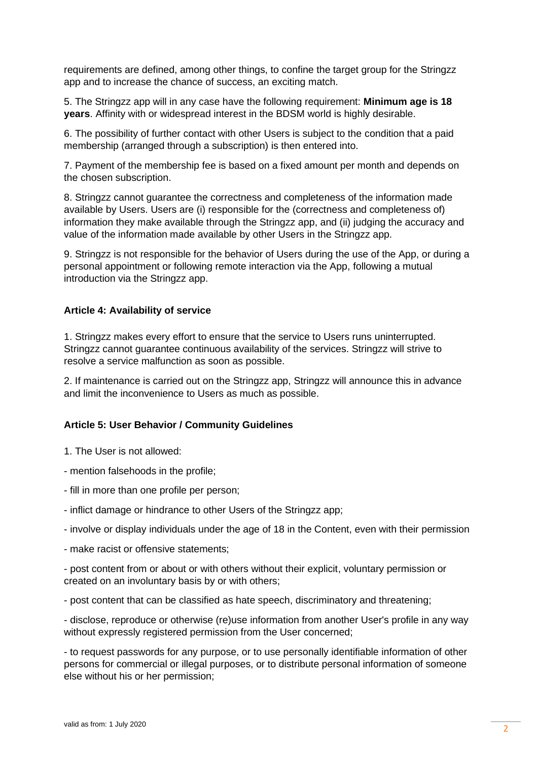requirements are defined, among other things, to confine the target group for the Stringzz app and to increase the chance of success, an exciting match.

5. The Stringzz app will in any case have the following requirement: **Minimum age is 18 years**. Affinity with or widespread interest in the BDSM world is highly desirable.

6. The possibility of further contact with other Users is subject to the condition that a paid membership (arranged through a subscription) is then entered into.

7. Payment of the membership fee is based on a fixed amount per month and depends on the chosen subscription.

8. Stringzz cannot guarantee the correctness and completeness of the information made available by Users. Users are (i) responsible for the (correctness and completeness of) information they make available through the Stringzz app, and (ii) judging the accuracy and value of the information made available by other Users in the Stringzz app.

9. Stringzz is not responsible for the behavior of Users during the use of the App, or during a personal appointment or following remote interaction via the App, following a mutual introduction via the Stringzz app.

## **Article 4: Availability of service**

1. Stringzz makes every effort to ensure that the service to Users runs uninterrupted. Stringzz cannot guarantee continuous availability of the services. Stringzz will strive to resolve a service malfunction as soon as possible.

2. If maintenance is carried out on the Stringzz app, Stringzz will announce this in advance and limit the inconvenience to Users as much as possible.

## **Article 5: User Behavior / Community Guidelines**

1. The User is not allowed:

- mention falsehoods in the profile;
- fill in more than one profile per person;
- inflict damage or hindrance to other Users of the Stringzz app;
- involve or display individuals under the age of 18 in the Content, even with their permission
- make racist or offensive statements;

- post content from or about or with others without their explicit, voluntary permission or created on an involuntary basis by or with others;

- post content that can be classified as hate speech, discriminatory and threatening;

- disclose, reproduce or otherwise (re)use information from another User's profile in any way without expressly registered permission from the User concerned:

- to request passwords for any purpose, or to use personally identifiable information of other persons for commercial or illegal purposes, or to distribute personal information of someone else without his or her permission;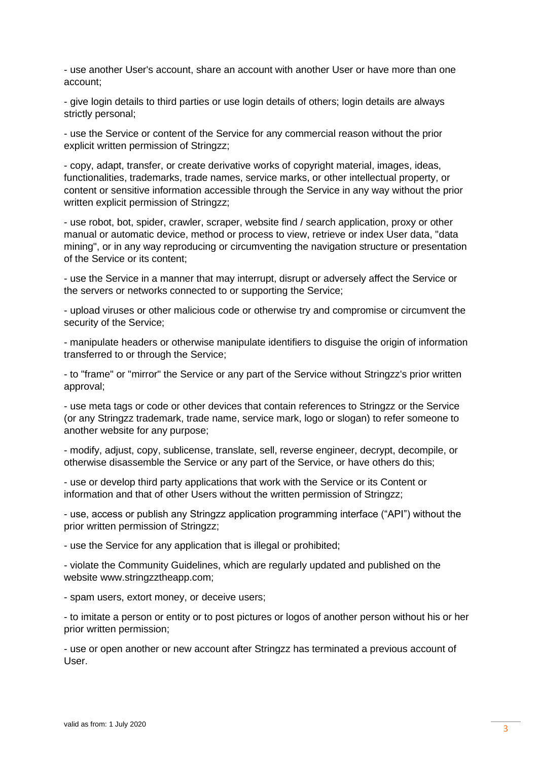- use another User's account, share an account with another User or have more than one account;

- give login details to third parties or use login details of others; login details are always strictly personal;

- use the Service or content of the Service for any commercial reason without the prior explicit written permission of Stringzz;

- copy, adapt, transfer, or create derivative works of copyright material, images, ideas, functionalities, trademarks, trade names, service marks, or other intellectual property, or content or sensitive information accessible through the Service in any way without the prior written explicit permission of Stringzz;

- use robot, bot, spider, crawler, scraper, website find / search application, proxy or other manual or automatic device, method or process to view, retrieve or index User data, "data mining", or in any way reproducing or circumventing the navigation structure or presentation of the Service or its content;

- use the Service in a manner that may interrupt, disrupt or adversely affect the Service or the servers or networks connected to or supporting the Service;

- upload viruses or other malicious code or otherwise try and compromise or circumvent the security of the Service;

- manipulate headers or otherwise manipulate identifiers to disguise the origin of information transferred to or through the Service;

- to "frame" or "mirror" the Service or any part of the Service without Stringzz's prior written approval;

- use meta tags or code or other devices that contain references to Stringzz or the Service (or any Stringzz trademark, trade name, service mark, logo or slogan) to refer someone to another website for any purpose;

- modify, adjust, copy, sublicense, translate, sell, reverse engineer, decrypt, decompile, or otherwise disassemble the Service or any part of the Service, or have others do this;

- use or develop third party applications that work with the Service or its Content or information and that of other Users without the written permission of Stringzz;

- use, access or publish any Stringzz application programming interface ("API") without the prior written permission of Stringzz;

- use the Service for any application that is illegal or prohibited;

- violate the Community Guidelines, which are regularly updated and published on the website www.stringzztheapp.com;

- spam users, extort money, or deceive users;

- to imitate a person or entity or to post pictures or logos of another person without his or her prior written permission;

- use or open another or new account after Stringzz has terminated a previous account of User.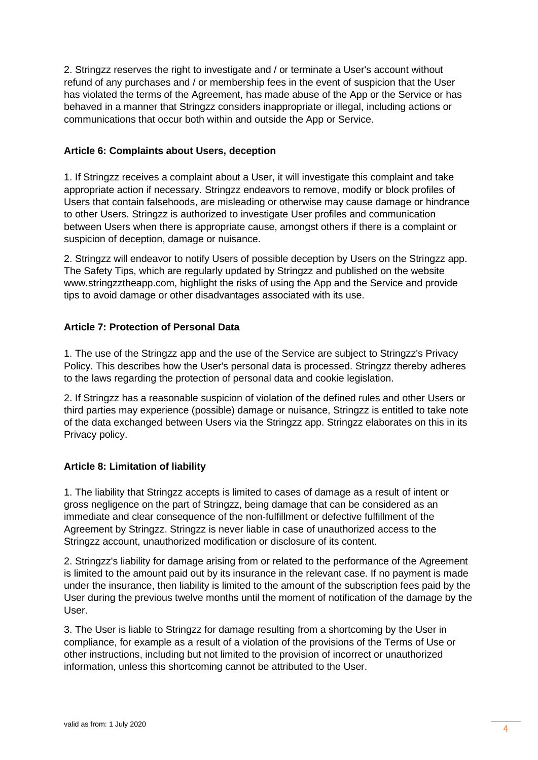2. Stringzz reserves the right to investigate and / or terminate a User's account without refund of any purchases and / or membership fees in the event of suspicion that the User has violated the terms of the Agreement, has made abuse of the App or the Service or has behaved in a manner that Stringzz considers inappropriate or illegal, including actions or communications that occur both within and outside the App or Service.

## **Article 6: Complaints about Users, deception**

1. If Stringzz receives a complaint about a User, it will investigate this complaint and take appropriate action if necessary. Stringzz endeavors to remove, modify or block profiles of Users that contain falsehoods, are misleading or otherwise may cause damage or hindrance to other Users. Stringzz is authorized to investigate User profiles and communication between Users when there is appropriate cause, amongst others if there is a complaint or suspicion of deception, damage or nuisance.

2. Stringzz will endeavor to notify Users of possible deception by Users on the Stringzz app. The Safety Tips, which are regularly updated by Stringzz and published on the website www.stringzztheapp.com, highlight the risks of using the App and the Service and provide tips to avoid damage or other disadvantages associated with its use.

# **Article 7: Protection of Personal Data**

1. The use of the Stringzz app and the use of the Service are subject to Stringzz's Privacy Policy. This describes how the User's personal data is processed. Stringzz thereby adheres to the laws regarding the protection of personal data and cookie legislation.

2. If Stringzz has a reasonable suspicion of violation of the defined rules and other Users or third parties may experience (possible) damage or nuisance, Stringzz is entitled to take note of the data exchanged between Users via the Stringzz app. Stringzz elaborates on this in its Privacy policy.

# **Article 8: Limitation of liability**

1. The liability that Stringzz accepts is limited to cases of damage as a result of intent or gross negligence on the part of Stringzz, being damage that can be considered as an immediate and clear consequence of the non-fulfillment or defective fulfillment of the Agreement by Stringzz. Stringzz is never liable in case of unauthorized access to the Stringzz account, unauthorized modification or disclosure of its content.

2. Stringzz's liability for damage arising from or related to the performance of the Agreement is limited to the amount paid out by its insurance in the relevant case. If no payment is made under the insurance, then liability is limited to the amount of the subscription fees paid by the User during the previous twelve months until the moment of notification of the damage by the User.

3. The User is liable to Stringzz for damage resulting from a shortcoming by the User in compliance, for example as a result of a violation of the provisions of the Terms of Use or other instructions, including but not limited to the provision of incorrect or unauthorized information, unless this shortcoming cannot be attributed to the User.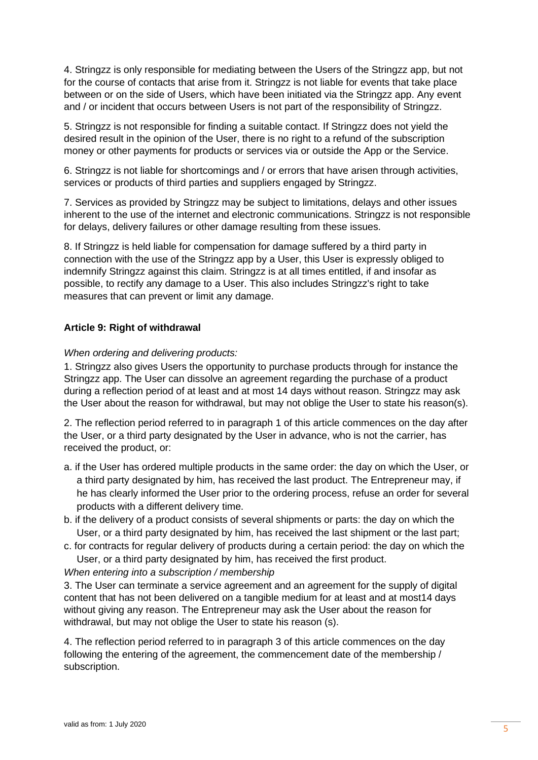4. Stringzz is only responsible for mediating between the Users of the Stringzz app, but not for the course of contacts that arise from it. Stringzz is not liable for events that take place between or on the side of Users, which have been initiated via the Stringzz app. Any event and / or incident that occurs between Users is not part of the responsibility of Stringzz.

5. Stringzz is not responsible for finding a suitable contact. If Stringzz does not yield the desired result in the opinion of the User, there is no right to a refund of the subscription money or other payments for products or services via or outside the App or the Service.

6. Stringzz is not liable for shortcomings and / or errors that have arisen through activities, services or products of third parties and suppliers engaged by Stringzz.

7. Services as provided by Stringzz may be subject to limitations, delays and other issues inherent to the use of the internet and electronic communications. Stringzz is not responsible for delays, delivery failures or other damage resulting from these issues.

8. If Stringzz is held liable for compensation for damage suffered by a third party in connection with the use of the Stringzz app by a User, this User is expressly obliged to indemnify Stringzz against this claim. Stringzz is at all times entitled, if and insofar as possible, to rectify any damage to a User. This also includes Stringzz's right to take measures that can prevent or limit any damage.

## **Article 9: Right of withdrawal**

## *When ordering and delivering products:*

1. Stringzz also gives Users the opportunity to purchase products through for instance the Stringzz app. The User can dissolve an agreement regarding the purchase of a product during a reflection period of at least and at most 14 days without reason. Stringzz may ask the User about the reason for withdrawal, but may not oblige the User to state his reason(s).

2. The reflection period referred to in paragraph 1 of this article commences on the day after the User, or a third party designated by the User in advance, who is not the carrier, has received the product, or:

- a. if the User has ordered multiple products in the same order: the day on which the User, or a third party designated by him, has received the last product. The Entrepreneur may, if he has clearly informed the User prior to the ordering process, refuse an order for several products with a different delivery time.
- b. if the delivery of a product consists of several shipments or parts: the day on which the User, or a third party designated by him, has received the last shipment or the last part;
- c. for contracts for regular delivery of products during a certain period: the day on which the User, or a third party designated by him, has received the first product.

## *When entering into a subscription / membership*

3. The User can terminate a service agreement and an agreement for the supply of digital content that has not been delivered on a tangible medium for at least and at most14 days without giving any reason. The Entrepreneur may ask the User about the reason for withdrawal, but may not oblige the User to state his reason (s).

4. The reflection period referred to in paragraph 3 of this article commences on the day following the entering of the agreement, the commencement date of the membership / subscription.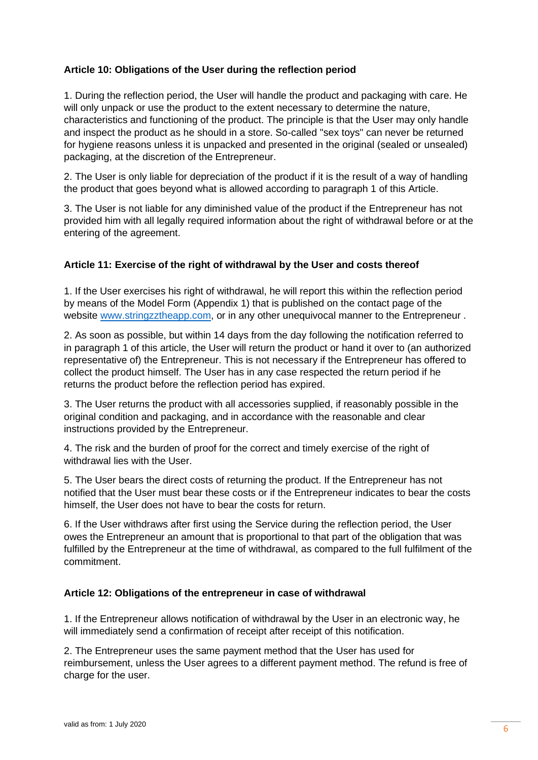## **Article 10: Obligations of the User during the reflection period**

1. During the reflection period, the User will handle the product and packaging with care. He will only unpack or use the product to the extent necessary to determine the nature, characteristics and functioning of the product. The principle is that the User may only handle and inspect the product as he should in a store. So-called "sex toys" can never be returned for hygiene reasons unless it is unpacked and presented in the original (sealed or unsealed) packaging, at the discretion of the Entrepreneur.

2. The User is only liable for depreciation of the product if it is the result of a way of handling the product that goes beyond what is allowed according to paragraph 1 of this Article.

3. The User is not liable for any diminished value of the product if the Entrepreneur has not provided him with all legally required information about the right of withdrawal before or at the entering of the agreement.

## **Article 11: Exercise of the right of withdrawal by the User and costs thereof**

1. If the User exercises his right of withdrawal, he will report this within the reflection period by means of the Model Form (Appendix 1) that is published on the contact page of the website [www.stringzztheapp.com,](http://www.stringzztheapp.com/) or in any other unequivocal manner to the Entrepreneur .

2. As soon as possible, but within 14 days from the day following the notification referred to in paragraph 1 of this article, the User will return the product or hand it over to (an authorized representative of) the Entrepreneur. This is not necessary if the Entrepreneur has offered to collect the product himself. The User has in any case respected the return period if he returns the product before the reflection period has expired.

3. The User returns the product with all accessories supplied, if reasonably possible in the original condition and packaging, and in accordance with the reasonable and clear instructions provided by the Entrepreneur.

4. The risk and the burden of proof for the correct and timely exercise of the right of withdrawal lies with the User.

5. The User bears the direct costs of returning the product. If the Entrepreneur has not notified that the User must bear these costs or if the Entrepreneur indicates to bear the costs himself, the User does not have to bear the costs for return.

6. If the User withdraws after first using the Service during the reflection period, the User owes the Entrepreneur an amount that is proportional to that part of the obligation that was fulfilled by the Entrepreneur at the time of withdrawal, as compared to the full fulfilment of the commitment.

## **Article 12: Obligations of the entrepreneur in case of withdrawal**

1. If the Entrepreneur allows notification of withdrawal by the User in an electronic way, he will immediately send a confirmation of receipt after receipt of this notification.

2. The Entrepreneur uses the same payment method that the User has used for reimbursement, unless the User agrees to a different payment method. The refund is free of charge for the user.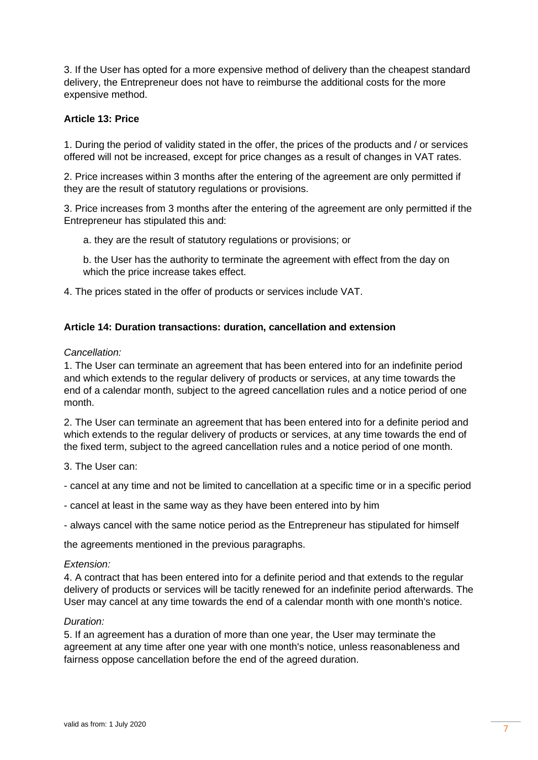3. If the User has opted for a more expensive method of delivery than the cheapest standard delivery, the Entrepreneur does not have to reimburse the additional costs for the more expensive method.

## **Article 13: Price**

1. During the period of validity stated in the offer, the prices of the products and / or services offered will not be increased, except for price changes as a result of changes in VAT rates.

2. Price increases within 3 months after the entering of the agreement are only permitted if they are the result of statutory regulations or provisions.

3. Price increases from 3 months after the entering of the agreement are only permitted if the Entrepreneur has stipulated this and:

a. they are the result of statutory regulations or provisions; or

b. the User has the authority to terminate the agreement with effect from the day on which the price increase takes effect.

4. The prices stated in the offer of products or services include VAT.

#### **Article 14: Duration transactions: duration, cancellation and extension**

#### *Cancellation:*

1. The User can terminate an agreement that has been entered into for an indefinite period and which extends to the regular delivery of products or services, at any time towards the end of a calendar month, subject to the agreed cancellation rules and a notice period of one month.

2. The User can terminate an agreement that has been entered into for a definite period and which extends to the regular delivery of products or services, at any time towards the end of the fixed term, subject to the agreed cancellation rules and a notice period of one month.

3. The User can:

- cancel at any time and not be limited to cancellation at a specific time or in a specific period

- cancel at least in the same way as they have been entered into by him

- always cancel with the same notice period as the Entrepreneur has stipulated for himself

the agreements mentioned in the previous paragraphs.

#### *Extension:*

4. A contract that has been entered into for a definite period and that extends to the regular delivery of products or services will be tacitly renewed for an indefinite period afterwards. The User may cancel at any time towards the end of a calendar month with one month's notice.

#### *Duration:*

5. If an agreement has a duration of more than one year, the User may terminate the agreement at any time after one year with one month's notice, unless reasonableness and fairness oppose cancellation before the end of the agreed duration.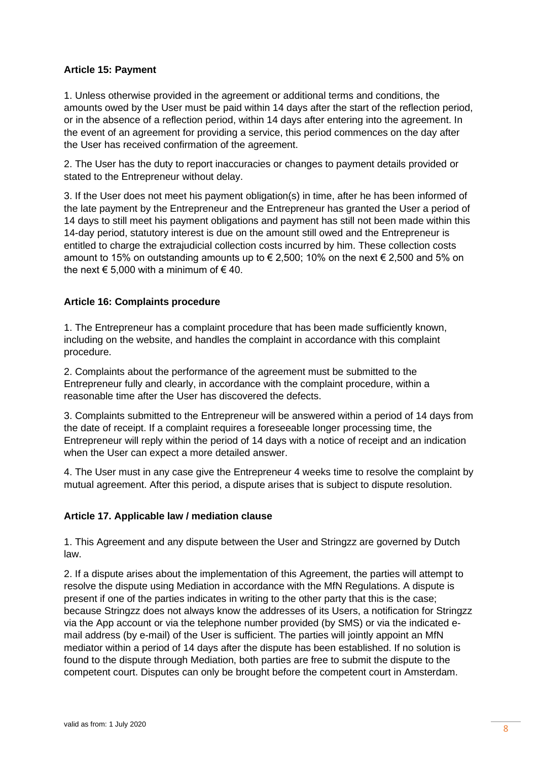## **Article 15: Payment**

1. Unless otherwise provided in the agreement or additional terms and conditions, the amounts owed by the User must be paid within 14 days after the start of the reflection period, or in the absence of a reflection period, within 14 days after entering into the agreement. In the event of an agreement for providing a service, this period commences on the day after the User has received confirmation of the agreement.

2. The User has the duty to report inaccuracies or changes to payment details provided or stated to the Entrepreneur without delay.

3. If the User does not meet his payment obligation(s) in time, after he has been informed of the late payment by the Entrepreneur and the Entrepreneur has granted the User a period of 14 days to still meet his payment obligations and payment has still not been made within this 14-day period, statutory interest is due on the amount still owed and the Entrepreneur is entitled to charge the extrajudicial collection costs incurred by him. These collection costs amount to 15% on outstanding amounts up to  $\epsilon$  2,500; 10% on the next  $\epsilon$  2,500 and 5% on the next  $\epsilon$  5,000 with a minimum of  $\epsilon$  40.

## **Article 16: Complaints procedure**

1. The Entrepreneur has a complaint procedure that has been made sufficiently known, including on the website, and handles the complaint in accordance with this complaint procedure.

2. Complaints about the performance of the agreement must be submitted to the Entrepreneur fully and clearly, in accordance with the complaint procedure, within a reasonable time after the User has discovered the defects.

3. Complaints submitted to the Entrepreneur will be answered within a period of 14 days from the date of receipt. If a complaint requires a foreseeable longer processing time, the Entrepreneur will reply within the period of 14 days with a notice of receipt and an indication when the User can expect a more detailed answer.

4. The User must in any case give the Entrepreneur 4 weeks time to resolve the complaint by mutual agreement. After this period, a dispute arises that is subject to dispute resolution.

## **Article 17. Applicable law / mediation clause**

1. This Agreement and any dispute between the User and Stringzz are governed by Dutch law.

2. If a dispute arises about the implementation of this Agreement, the parties will attempt to resolve the dispute using Mediation in accordance with the MfN Regulations. A dispute is present if one of the parties indicates in writing to the other party that this is the case; because Stringzz does not always know the addresses of its Users, a notification for Stringzz via the App account or via the telephone number provided (by SMS) or via the indicated email address (by e-mail) of the User is sufficient. The parties will jointly appoint an MfN mediator within a period of 14 days after the dispute has been established. If no solution is found to the dispute through Mediation, both parties are free to submit the dispute to the competent court. Disputes can only be brought before the competent court in Amsterdam.